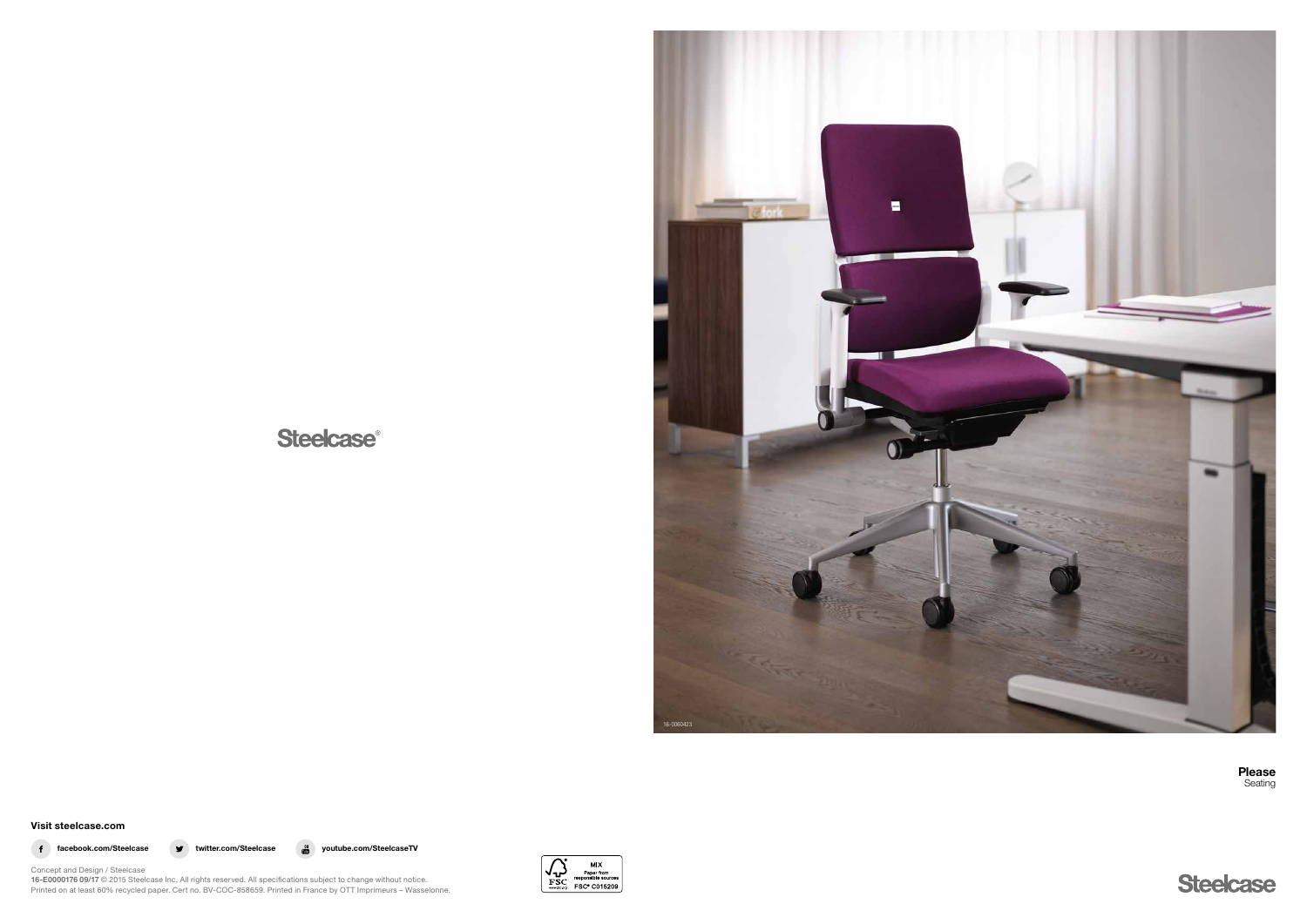# **Steelcase®**



Visit steelcase.com

f facebook.com/Steelcase v twitter.com/Steelcase a youtube.com/SteelcaseTV



Concept and Design / Steelcase 16-E0000176 09/17 © 2015 Steelcase Inc. All rights reserved. All specifications subject to change without notice. Printed on at least 60% recycled paper. Cert no. BV-COC-858659. Printed in France by OTT Imprimeurs – Wasselonne. Please Seating

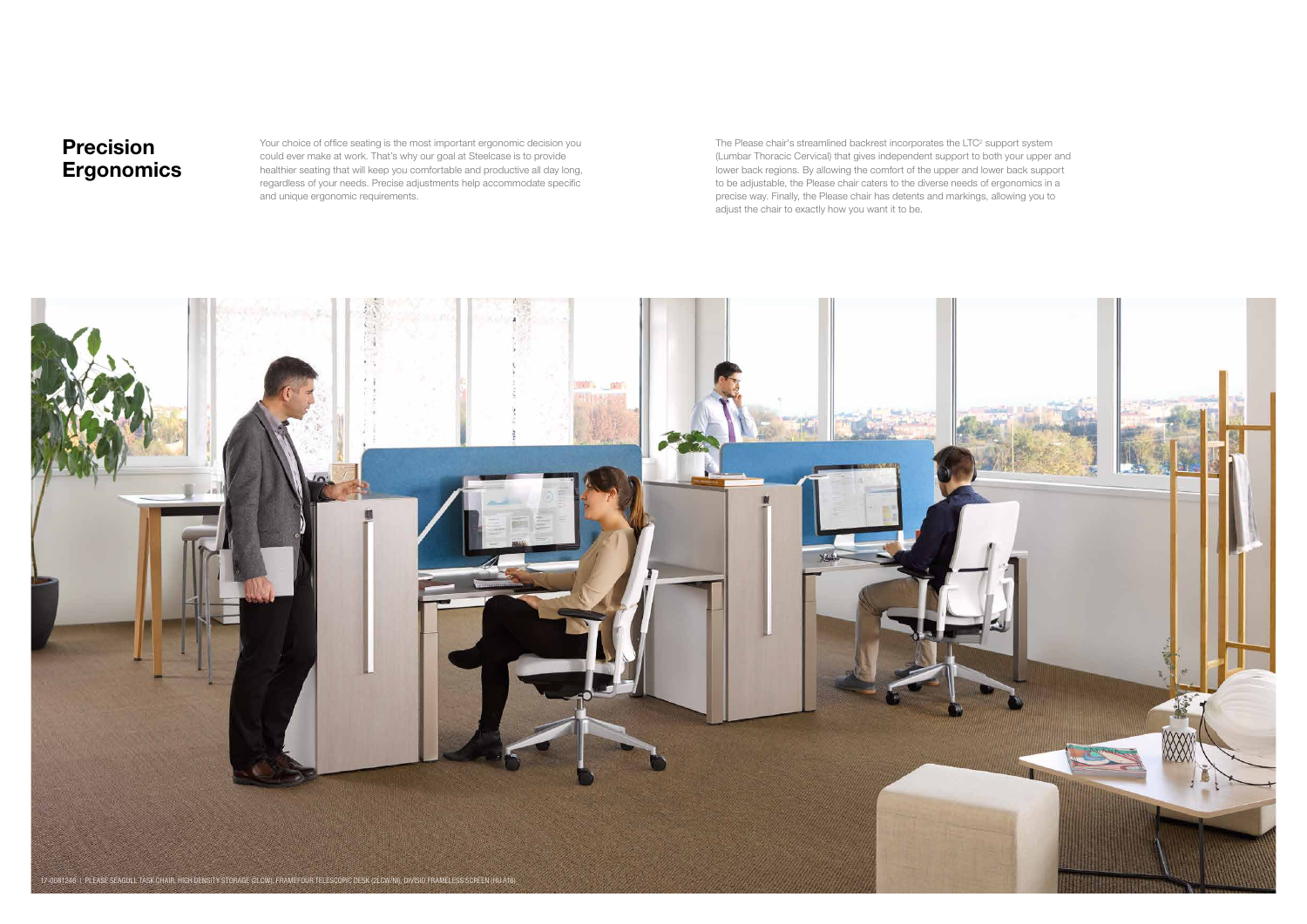Your choice of office seating is the most important ergonomic decision you could ever make at work. That's why our goal at Steelcase is to provide healthier seating that will keep you comfortable and productive all day long, regardless of your needs. Precise adjustments help accommodate specific and unique ergonomic requirements.

The Please chair's streamlined backrest incorporates the LTC<sup>2</sup> support system (Lumbar Thoracic Cervical) that gives independent support to both your upper and lower back regions. By allowing the comfort of the upper and lower back support to be adjustable, the Please chair caters to the diverse needs of ergonomics in a precise way. Finally, the Please chair has detents and markings, allowing you to adjust the chair to exactly how you want it to be.

## Precision **Ergonomics**

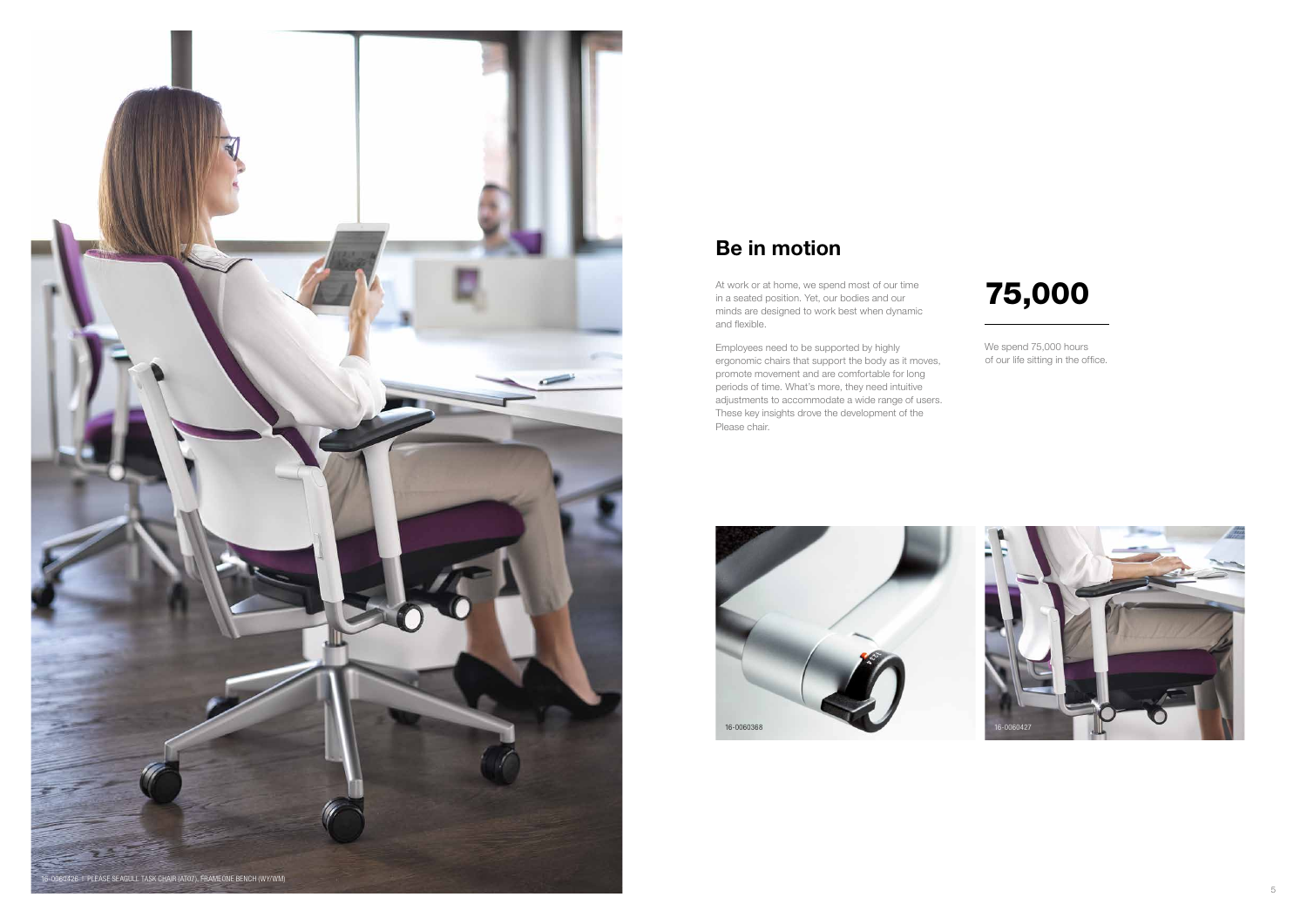



We spend 75,000 hours of our life sitting in the office.

# 75,000

Employees need to be supported by highly ergonomic chairs that support the body as it moves, promote movement and are comfortable for long periods of time. What's more, they need intuitive adjustments to accommodate a wide range of users. These key insights drove the development of the Please chair.

# Be in motion

At work or at home, we spend most of our time in a seated position. Yet, our bodies and our minds are designed to work best when dynamic and flexible.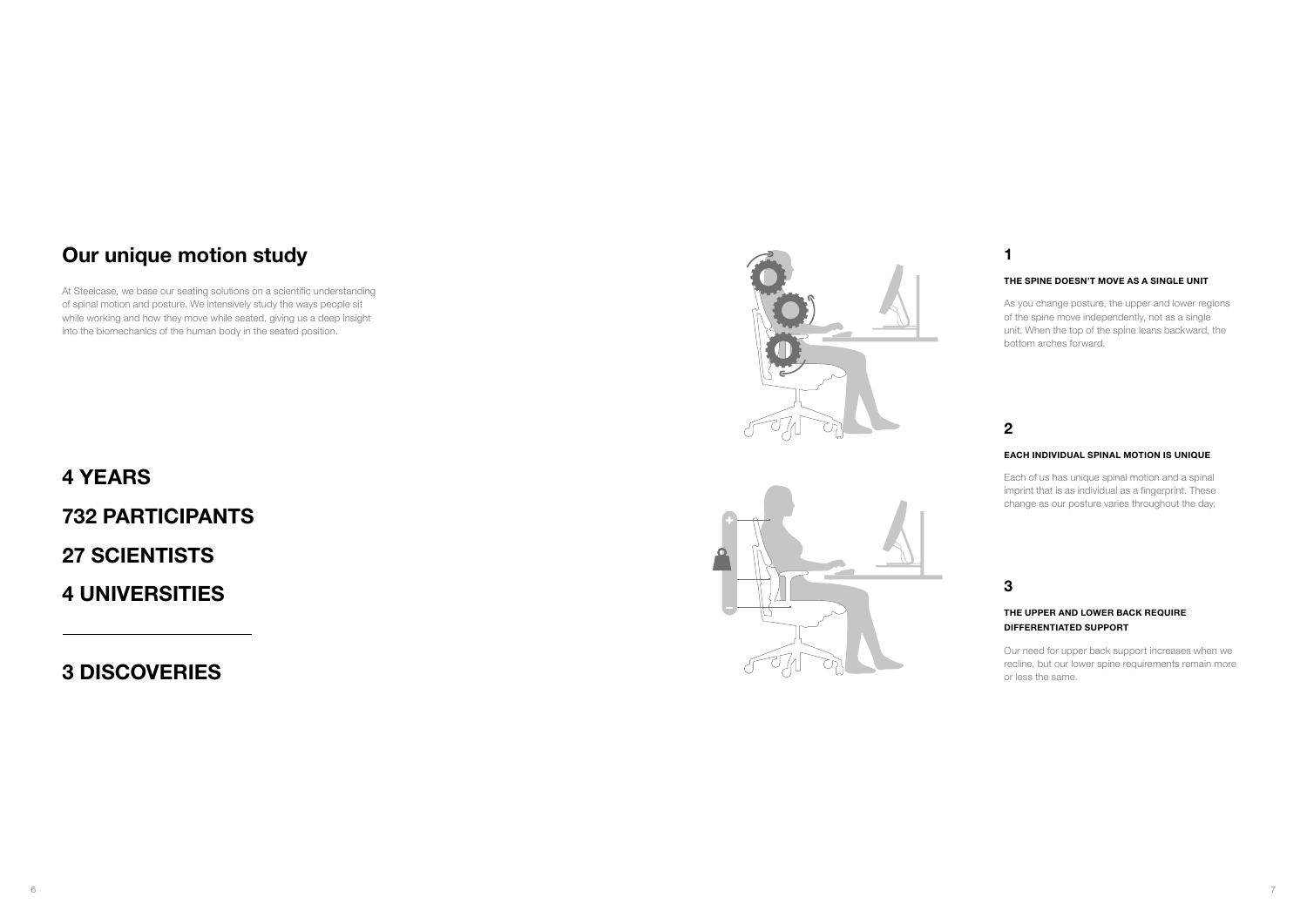# Our unique motion study

At Steelcase, we base our seating solutions on a scientific understanding of spinal motion and posture. We intensively study the ways people sit while working and how they move while seated, giving us a deep insight into the biomechanics of the human body in the seated position.

# 4 YEARS 732 PARTICIPANTS 27 SCIENTISTS 4 UNIVERSITIES

3 DISCOVERIES





## 1

## 2

## 3

## THE SPINE DOESN'T MOVE AS A SINGLE UNIT

As you change posture, the upper and lower regions of the spine move independently, not as a single unit. When the top of the spine leans backward, the bottom arches forward.

## EACH INDIVIDUAL SPINAL MOTION IS UNIQUE

Each of us has unique spinal motion and a spinal imprint that is as individual as a fingerprint. These change as our posture varies throughout the day.

## THE UPPER AND LOWER BACK REQUIRE DIFFERENTIATED SUPPORT

Our need for upper back support increases when we recline, but our lower spine requirements remain more or less the same.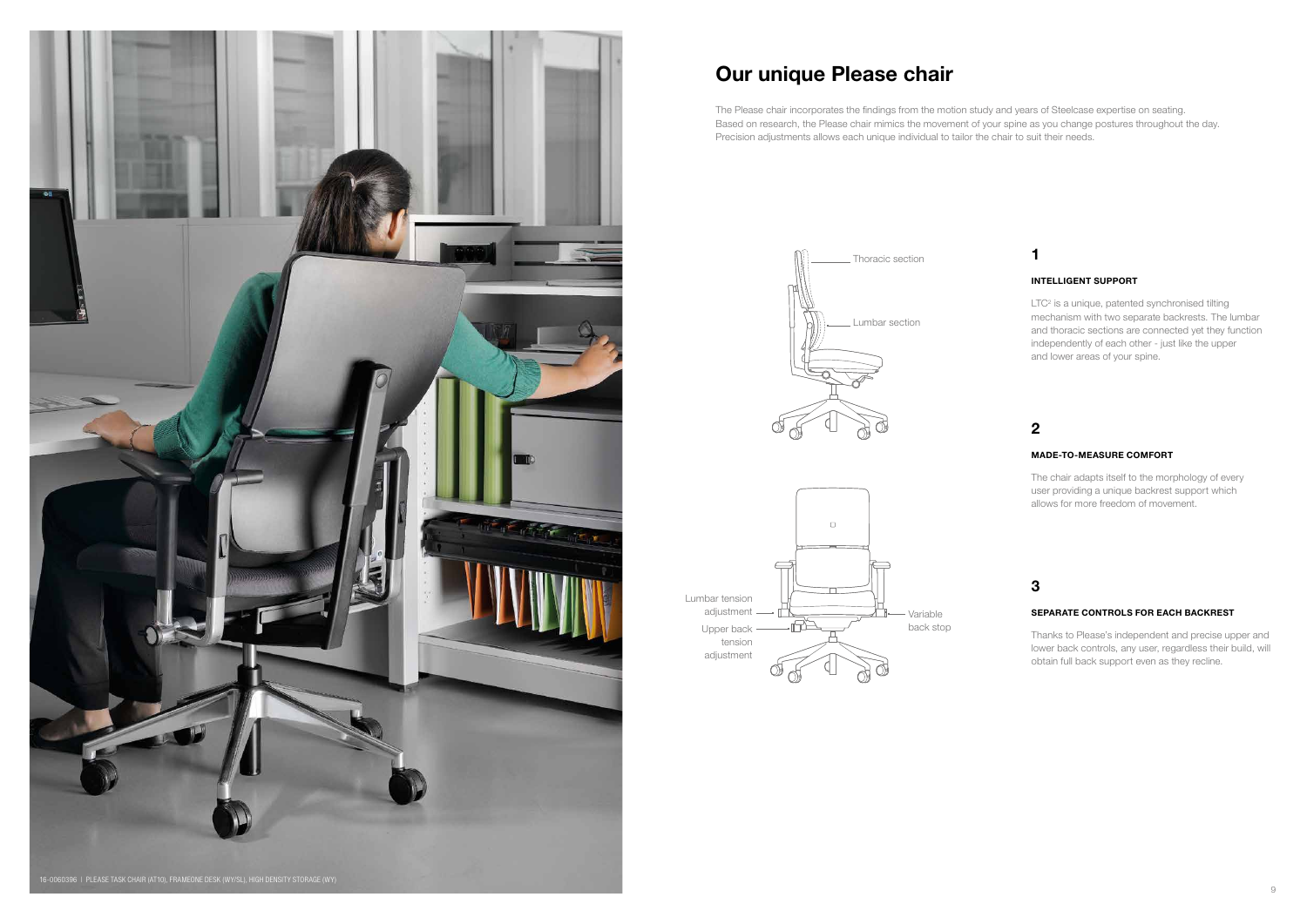



# Our unique Please chair

The Please chair incorporates the findings from the motion study and years of Steelcase expertise on seating. Based on research, the Please chair mimics the movement of your spine as you change postures throughout the day. Precision adjustments allows each unique individual to tailor the chair to suit their needs.

> LTC<sup>2</sup> is a unique, patented synchronised tilting mechanism with two separate backrests. The lumbar and thoracic sections are connected yet they function independently of each other - just like the upper and lower areas of your spine.



## 1

## 2

## 3

### INTELLIGENT SUPPORT

### MADE-TO-MEASURE COMFORT

The chair adapts itself to the morphology of every user providing a unique backrest support which allows for more freedom of movement.

#### SEPARATE CONTROLS FOR EACH BACKREST

Thanks to Please's independent and precise upper and lower back controls, any user, regardless their build, will obtain full back support even as they recline.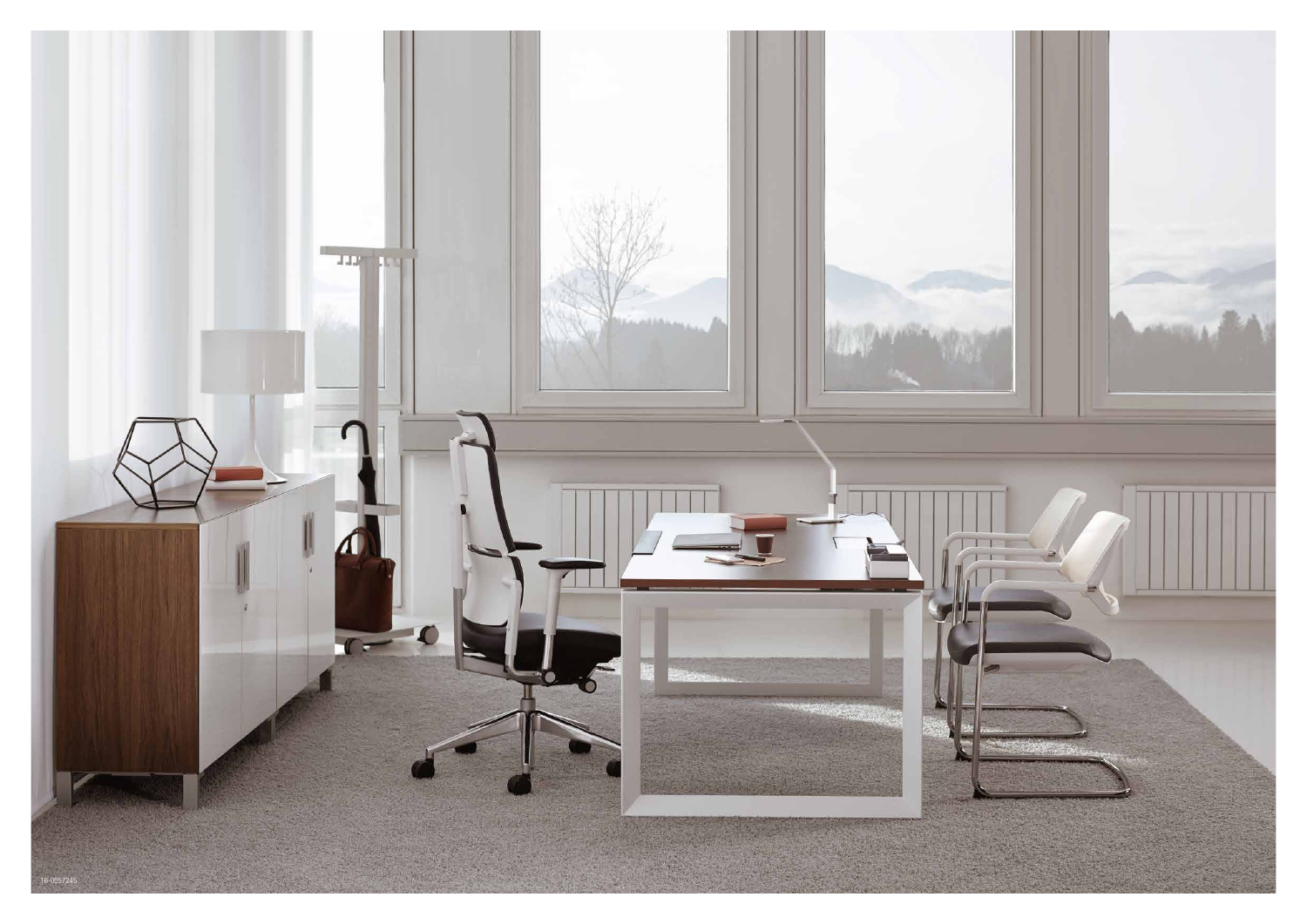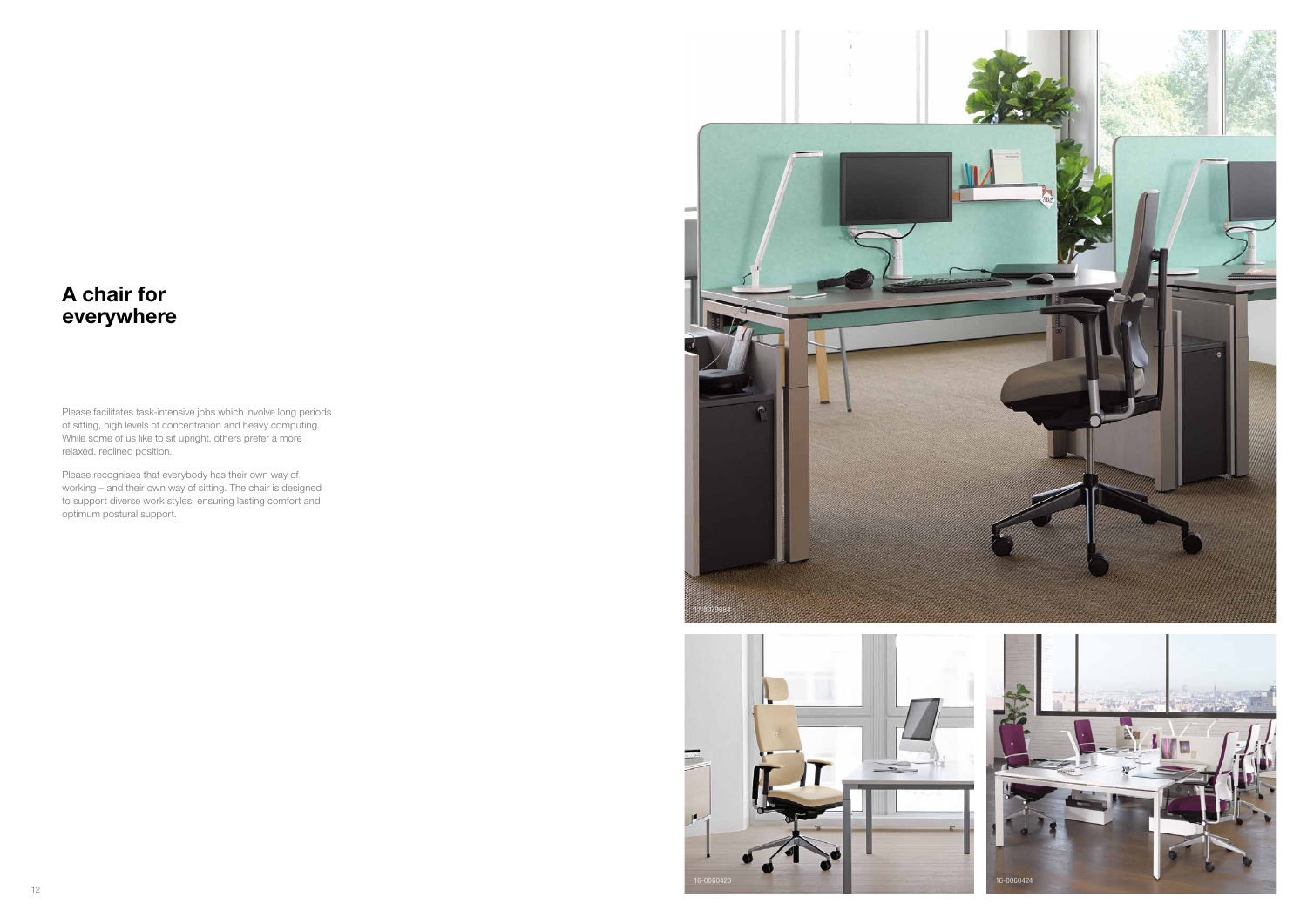



## A chair for everywhere

Please facilitates task-intensive jobs which involve long periods of sitting, high levels of concentration and heavy computing. While some of us like to sit upright, others prefer a more relaxed, reclined position.

Please recognises that everybody has their own way of working – and their own way of sitting. The chair is designed to support diverse work styles, ensuring lasting comfort and optimum postural support.